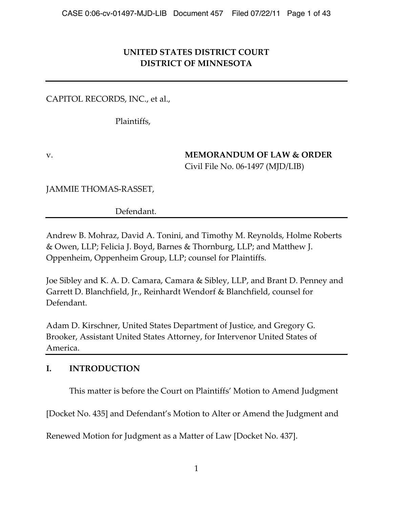# **UNITED STATES DISTRICT COURT DISTRICT OF MINNESOTA**

CAPITOL RECORDS, INC., et al.,

Plaintiffs,

v. **MEMORANDUM OF LAW & ORDER** Civil File No. 06‑1497 (MJD/LIB)

JAMMIE THOMAS‑RASSET,

Defendant.

Andrew B. Mohraz, David A. Tonini, and Timothy M. Reynolds, Holme Roberts & Owen, LLP; Felicia J. Boyd, Barnes & Thornburg, LLP; and Matthew J. Oppenheim, Oppenheim Group, LLP; counsel for Plaintiffs.

Joe Sibley and K. A. D. Camara, Camara & Sibley, LLP, and Brant D. Penney and Garrett D. Blanchfield, Jr., Reinhardt Wendorf & Blanchfield, counsel for Defendant.

Adam D. Kirschner, United States Department of Justice, and Gregory G. Brooker, Assistant United States Attorney, for Intervenor United States of America.

# **I. INTRODUCTION**

This matter is before the Court on Plaintiffs' Motion to Amend Judgment

[Docket No. 435] and Defendant's Motion to Alter or Amend the Judgment and

Renewed Motion for Judgment as a Matter of Law [Docket No. 437].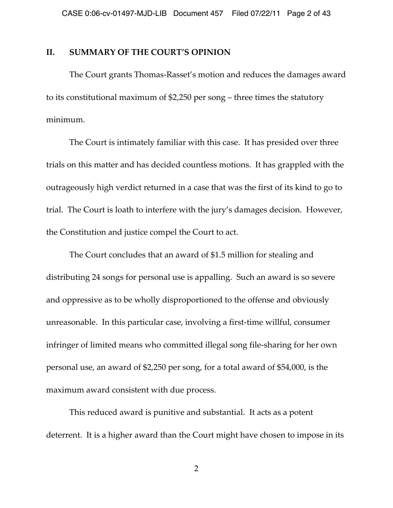#### **II. SUMMARY OF THE COURT'S OPINION**

The Court grants Thomas‑Rasset's motion and reduces the damages award to its constitutional maximum of \$2,250 per song – three times the statutory minimum.

The Court is intimately familiar with this case. It has presided over three trials on this matter and has decided countless motions. It has grappled with the outrageously high verdict returned in a case that was the first of its kind to go to trial. The Court is loath to interfere with the jury's damages decision. However, the Constitution and justice compel the Court to act.

The Court concludes that an award of \$1.5 million for stealing and distributing 24 songs for personal use is appalling. Such an award is so severe and oppressive as to be wholly disproportioned to the offense and obviously unreasonable. In this particular case, involving a first-time willful, consumer infringer of limited means who committed illegal song file‑sharing for her own personal use, an award of \$2,250 per song, for a total award of \$54,000, is the maximum award consistent with due process.

This reduced award is punitive and substantial. It acts as a potent deterrent. It is a higher award than the Court might have chosen to impose in its

2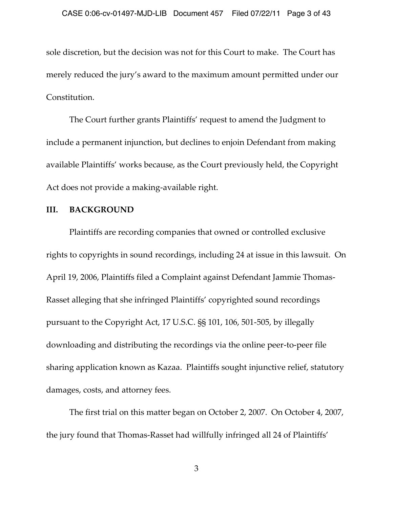sole discretion, but the decision was not for this Court to make. The Court has merely reduced the jury's award to the maximum amount permitted under our Constitution.

The Court further grants Plaintiffs' request to amend the Judgment to include a permanent injunction, but declines to enjoin Defendant from making available Plaintiffs' works because, as the Court previously held, the Copyright Act does not provide a making-available right.

### **III. BACKGROUND**

Plaintiffs are recording companies that owned or controlled exclusive rights to copyrights in sound recordings, including 24 at issue in this lawsuit. On April 19, 2006, Plaintiffs filed a Complaint against Defendant Jammie Thomas-Rasset alleging that she infringed Plaintiffs' copyrighted sound recordings pursuant to the Copyright Act, 17 U.S.C. §§ 101, 106, 501‑505, by illegally downloading and distributing the recordings via the online peer-to-peer file sharing application known as Kazaa. Plaintiffs sought injunctive relief, statutory damages, costs, and attorney fees.

The first trial on this matter began on October 2, 2007. On October 4, 2007, the jury found that Thomas‑Rasset had willfully infringed all 24 of Plaintiffs'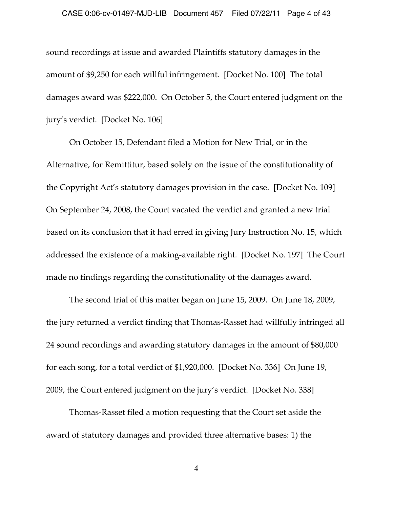sound recordings at issue and awarded Plaintiffs statutory damages in the amount of \$9,250 for each willful infringement. [Docket No. 100] The total damages award was \$222,000. On October 5, the Court entered judgment on the jury's verdict. [Docket No. 106]

On October 15, Defendant filed a Motion for New Trial, or in the Alternative, for Remittitur, based solely on the issue of the constitutionality of the Copyright Act's statutory damages provision in the case. [Docket No. 109] On September 24, 2008, the Court vacated the verdict and granted a new trial based on its conclusion that it had erred in giving Jury Instruction No. 15, which addressed the existence of a making‑available right. [Docket No. 197] The Court made no findings regarding the constitutionality of the damages award.

The second trial of this matter began on June 15, 2009. On June 18, 2009, the jury returned a verdict finding that Thomas‑Rasset had willfully infringed all 24 sound recordings and awarding statutory damages in the amount of \$80,000 for each song, for a total verdict of \$1,920,000. [Docket No. 336] On June 19, 2009, the Court entered judgment on the jury's verdict. [Docket No. 338]

Thomas‑Rasset filed a motion requesting that the Court set aside the award of statutory damages and provided three alternative bases: 1) the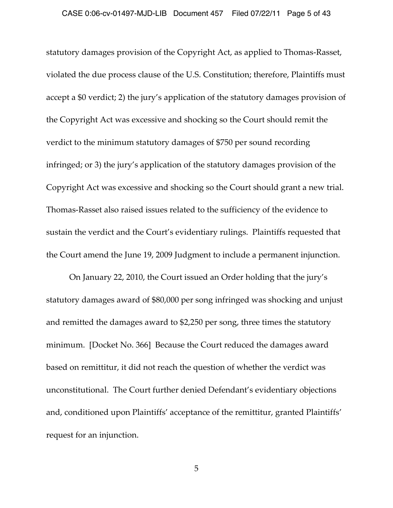statutory damages provision of the Copyright Act, as applied to Thomas‑Rasset, violated the due process clause of the U.S. Constitution; therefore, Plaintiffs must accept a \$0 verdict; 2) the jury's application of the statutory damages provision of the Copyright Act was excessive and shocking so the Court should remit the verdict to the minimum statutory damages of \$750 per sound recording infringed; or 3) the jury's application of the statutory damages provision of the Copyright Act was excessive and shocking so the Court should grant a new trial. Thomas‑Rasset also raised issues related to the sufficiency of the evidence to sustain the verdict and the Court's evidentiary rulings. Plaintiffs requested that the Court amend the June 19, 2009 Judgment to include a permanent injunction.

On January 22, 2010, the Court issued an Order holding that the jury's statutory damages award of \$80,000 per song infringed was shocking and unjust and remitted the damages award to \$2,250 per song, three times the statutory minimum. [Docket No. 366] Because the Court reduced the damages award based on remittitur, it did not reach the question of whether the verdict was unconstitutional. The Court further denied Defendant's evidentiary objections and, conditioned upon Plaintiffs' acceptance of the remittitur, granted Plaintiffs' request for an injunction.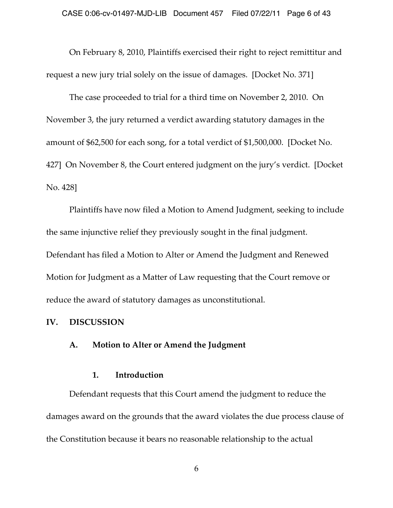On February 8, 2010, Plaintiffs exercised their right to reject remittitur and request a new jury trial solely on the issue of damages. [Docket No. 371]

The case proceeded to trial for a third time on November 2, 2010. On November 3, the jury returned a verdict awarding statutory damages in the amount of \$62,500 for each song, for a total verdict of \$1,500,000. [Docket No. 427] On November 8, the Court entered judgment on the jury's verdict. [Docket No. 428]

Plaintiffs have now filed a Motion to Amend Judgment, seeking to include the same injunctive relief they previously sought in the final judgment. Defendant has filed a Motion to Alter or Amend the Judgment and Renewed Motion for Judgment as a Matter of Law requesting that the Court remove or reduce the award of statutory damages as unconstitutional.

#### **IV. DISCUSSION**

#### **A. Motion to Alter or Amend the Judgment**

#### **1. Introduction**

Defendant requests that this Court amend the judgment to reduce the damages award on the grounds that the award violates the due process clause of the Constitution because it bears no reasonable relationship to the actual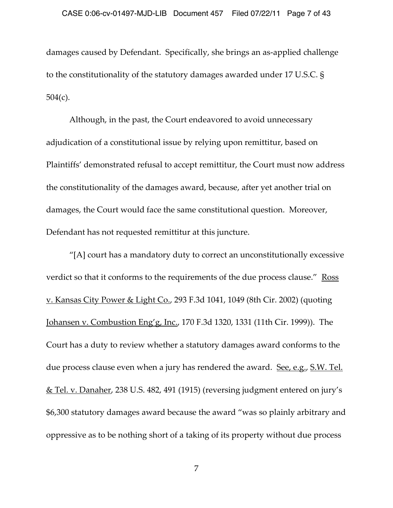damages caused by Defendant. Specifically, she brings an as‑applied challenge to the constitutionality of the statutory damages awarded under 17 U.S.C. § 504(c).

Although, in the past, the Court endeavored to avoid unnecessary adjudication of a constitutional issue by relying upon remittitur, based on Plaintiffs' demonstrated refusal to accept remittitur, the Court must now address the constitutionality of the damages award, because, after yet another trial on damages, the Court would face the same constitutional question. Moreover, Defendant has not requested remittitur at this juncture.

"[A] court has a mandatory duty to correct an unconstitutionally excessive verdict so that it conforms to the requirements of the due process clause." Ross v. Kansas City Power & Light Co., 293 F.3d 1041, 1049 (8th Cir. 2002) (quoting Johansen v. Combustion Eng'g, Inc., 170 F.3d 1320, 1331 (11th Cir. 1999)). The Court has a duty to review whether a statutory damages award conforms to the due process clause even when a jury has rendered the award. See, e.g., S.W. Tel. & Tel. v. Danaher, 238 U.S. 482, 491 (1915) (reversing judgment entered on jury's \$6,300 statutory damages award because the award "was so plainly arbitrary and oppressive as to be nothing short of a taking of its property without due process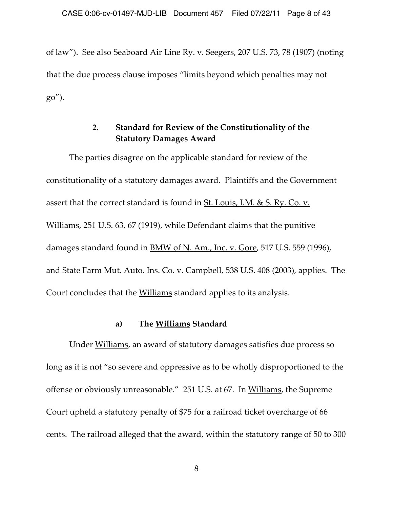of law"). See also Seaboard Air Line Ry. v. Seegers, 207 U.S. 73, 78 (1907) (noting that the due process clause imposes "limits beyond which penalties may not go").

# **2. Standard for Review of the Constitutionality of the Statutory Damages Award**

The parties disagree on the applicable standard for review of the constitutionality of a statutory damages award. Plaintiffs and the Government assert that the correct standard is found in St. Louis, I.M. & S. Ry. Co. v. Williams, 251 U.S. 63, 67 (1919), while Defendant claims that the punitive damages standard found in BMW of N. Am., Inc. v. Gore, 517 U.S. 559 (1996), and State Farm Mut. Auto. Ins. Co. v. Campbell, 538 U.S. 408 (2003), applies. The Court concludes that the Williams standard applies to its analysis.

### **a) The Williams Standard**

Under Williams, an award of statutory damages satisfies due process so long as it is not "so severe and oppressive as to be wholly disproportioned to the offense or obviously unreasonable." 251 U.S. at 67. In Williams, the Supreme Court upheld a statutory penalty of \$75 for a railroad ticket overcharge of 66 cents. The railroad alleged that the award, within the statutory range of 50 to 300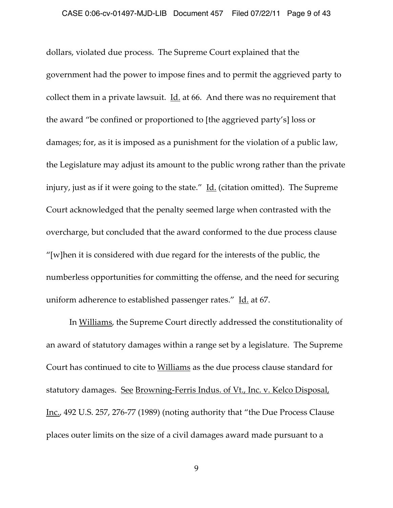dollars, violated due process. The Supreme Court explained that the government had the power to impose fines and to permit the aggrieved party to collect them in a private lawsuit. Id. at 66. And there was no requirement that the award "be confined or proportioned to [the aggrieved party's] loss or damages; for, as it is imposed as a punishment for the violation of a public law, the Legislature may adjust its amount to the public wrong rather than the private injury, just as if it were going to the state." Id. (citation omitted). The Supreme Court acknowledged that the penalty seemed large when contrasted with the overcharge, but concluded that the award conformed to the due process clause "[w]hen it is considered with due regard for the interests of the public, the numberless opportunities for committing the offense, and the need for securing uniform adherence to established passenger rates." Id. at 67.

In Williams, the Supreme Court directly addressed the constitutionality of an award of statutory damages within a range set by a legislature. The Supreme Court has continued to cite to Williams as the due process clause standard for statutory damages. See Browning-Ferris Indus. of Vt., Inc. v. Kelco Disposal, Inc., 492 U.S. 257, 276‑77 (1989) (noting authority that "the Due Process Clause places outer limits on the size of a civil damages award made pursuant to a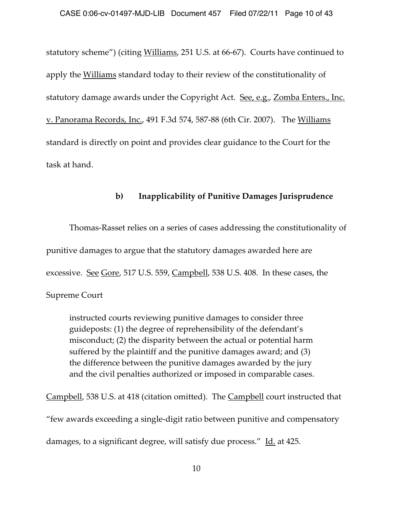statutory scheme") (citing Williams, 251 U.S. at 66-67). Courts have continued to apply the Williams standard today to their review of the constitutionality of statutory damage awards under the Copyright Act. See, e.g., Zomba Enters., Inc. v. Panorama Records, Inc., 491 F.3d 574, 587‑88 (6th Cir. 2007). The Williams standard is directly on point and provides clear guidance to the Court for the task at hand.

## **b) Inapplicability of Punitive Damages Jurisprudence**

Thomas‑Rasset relies on a series of cases addressing the constitutionality of punitive damages to argue that the statutory damages awarded here are excessive. See Gore, 517 U.S. 559, Campbell, 538 U.S. 408. In these cases, the Supreme Court

instructed courts reviewing punitive damages to consider three guideposts: (1) the degree of reprehensibility of the defendant's misconduct; (2) the disparity between the actual or potential harm suffered by the plaintiff and the punitive damages award; and (3) the difference between the punitive damages awarded by the jury and the civil penalties authorized or imposed in comparable cases.

Campbell, 538 U.S. at 418 (citation omitted). The Campbell court instructed that "few awards exceeding a single‑digit ratio between punitive and compensatory damages, to a significant degree, will satisfy due process." Id. at 425.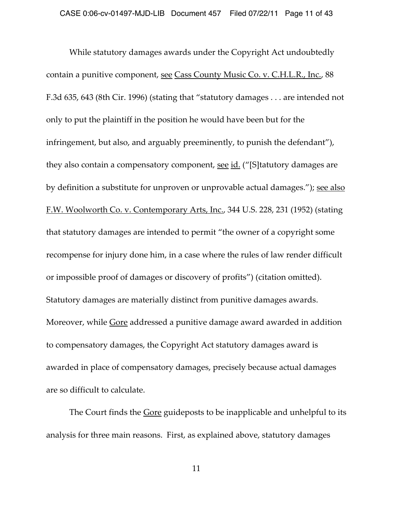While statutory damages awards under the Copyright Act undoubtedly contain a punitive component, see Cass County Music Co. v. C.H.L.R., Inc., 88 F.3d 635, 643 (8th Cir. 1996) (stating that "statutory damages . . . are intended not only to put the plaintiff in the position he would have been but for the infringement, but also, and arguably preeminently, to punish the defendant"), they also contain a compensatory component, <u>see id.</u> ("[S]tatutory damages are by definition a substitute for unproven or unprovable actual damages."); see also F.W. Woolworth Co. v. Contemporary Arts, Inc., 344 U.S. 228, 231 (1952) (stating that statutory damages are intended to permit "the owner of a copyright some recompense for injury done him, in a case where the rules of law render difficult or impossible proof of damages or discovery of profits") (citation omitted). Statutory damages are materially distinct from punitive damages awards. Moreover, while *Gore* addressed a punitive damage award awarded in addition to compensatory damages, the Copyright Act statutory damages award is awarded in place of compensatory damages, precisely because actual damages are so difficult to calculate.

The Court finds the **Gore** guideposts to be inapplicable and unhelpful to its analysis for three main reasons. First, as explained above, statutory damages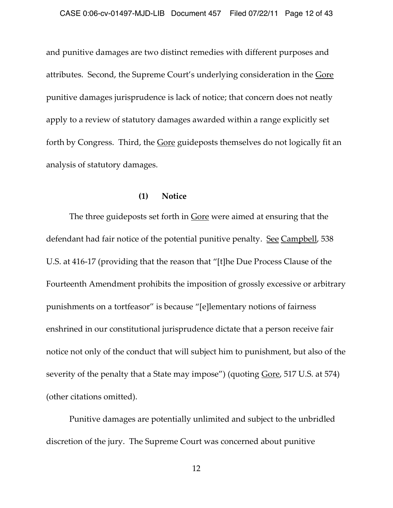and punitive damages are two distinct remedies with different purposes and attributes. Second, the Supreme Court's underlying consideration in the Gore punitive damages jurisprudence is lack of notice; that concern does not neatly apply to a review of statutory damages awarded within a range explicitly set forth by Congress. Third, the Gore guideposts themselves do not logically fit an analysis of statutory damages.

#### **(1) Notice**

The three guideposts set forth in <u>Gore</u> were aimed at ensuring that the defendant had fair notice of the potential punitive penalty. See Campbell, 538 U.S. at 416‑17 (providing that the reason that "[t]he Due Process Clause of the Fourteenth Amendment prohibits the imposition of grossly excessive or arbitrary punishments on a tortfeasor" is because "[e]lementary notions of fairness enshrined in our constitutional jurisprudence dictate that a person receive fair notice not only of the conduct that will subject him to punishment, but also of the severity of the penalty that a State may impose") (quoting Gore, 517 U.S. at 574) (other citations omitted).

Punitive damages are potentially unlimited and subject to the unbridled discretion of the jury. The Supreme Court was concerned about punitive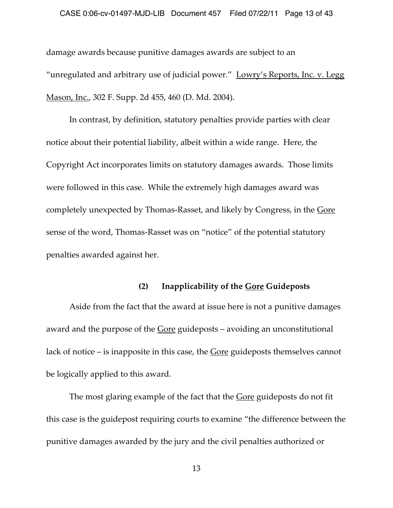damage awards because punitive damages awards are subject to an "unregulated and arbitrary use of judicial power." Lowry's Reports, Inc. v. Legg Mason, Inc., 302 F. Supp. 2d 455, 460 (D. Md. 2004).

In contrast, by definition, statutory penalties provide parties with clear notice about their potential liability, albeit within a wide range. Here, the Copyright Act incorporates limits on statutory damages awards. Those limits were followed in this case. While the extremely high damages award was completely unexpected by Thomas‑Rasset, and likely by Congress, in the Gore sense of the word, Thomas‑Rasset was on "notice" of the potential statutory penalties awarded against her.

### **(2) Inapplicability of the Gore Guideposts**

Aside from the fact that the award at issue here is not a punitive damages award and the purpose of the Gore guideposts – avoiding an unconstitutional lack of notice – is inapposite in this case, the Gore guideposts themselves cannot be logically applied to this award.

The most glaring example of the fact that the **Gore** guideposts do not fit this case is the guidepost requiring courts to examine "the difference between the punitive damages awarded by the jury and the civil penalties authorized or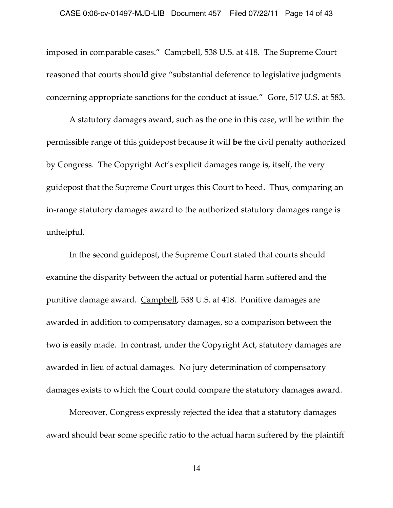imposed in comparable cases." Campbell, 538 U.S. at 418. The Supreme Court reasoned that courts should give "substantial deference to legislative judgments concerning appropriate sanctions for the conduct at issue." Gore, 517 U.S. at 583.

A statutory damages award, such as the one in this case, will be within the permissible range of this guidepost because it will **be** the civil penalty authorized by Congress. The Copyright Act's explicit damages range is, itself, the very guidepost that the Supreme Court urges this Court to heed. Thus, comparing an in-range statutory damages award to the authorized statutory damages range is unhelpful.

In the second guidepost, the Supreme Court stated that courts should examine the disparity between the actual or potential harm suffered and the punitive damage award. Campbell, 538 U.S. at 418. Punitive damages are awarded in addition to compensatory damages, so a comparison between the two is easily made. In contrast, under the Copyright Act, statutory damages are awarded in lieu of actual damages. No jury determination of compensatory damages exists to which the Court could compare the statutory damages award.

Moreover, Congress expressly rejected the idea that a statutory damages award should bear some specific ratio to the actual harm suffered by the plaintiff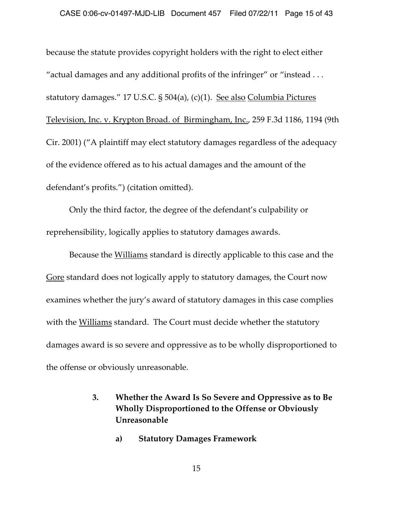because the statute provides copyright holders with the right to elect either "actual damages and any additional profits of the infringer" or "instead . . . statutory damages." 17 U.S.C. § 504(a), (c)(1). See also Columbia Pictures Television, Inc. v. Krypton Broad. of Birmingham, Inc., 259 F.3d 1186, 1194 (9th Cir. 2001) ("A plaintiff may elect statutory damages regardless of the adequacy of the evidence offered as to his actual damages and the amount of the defendant's profits.") (citation omitted).

Only the third factor, the degree of the defendant's culpability or reprehensibility, logically applies to statutory damages awards.

Because the Williams standard is directly applicable to this case and the Gore standard does not logically apply to statutory damages, the Court now examines whether the jury's award of statutory damages in this case complies with the Williams standard. The Court must decide whether the statutory damages award is so severe and oppressive as to be wholly disproportioned to the offense or obviously unreasonable.

- **3. Whether the Award Is So Severe and Oppressive as to Be Wholly Disproportioned to the Offense or Obviously Unreasonable**
	- **a) Statutory Damages Framework**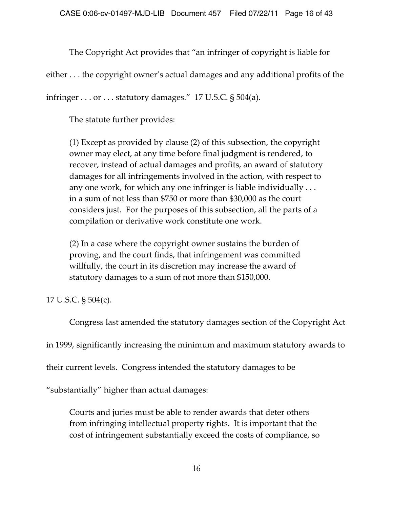The Copyright Act provides that "an infringer of copyright is liable for

either . . . the copyright owner's actual damages and any additional profits of the

infringer  $\dots$  or  $\dots$  statutory damages." 17 U.S.C. § 504(a).

The statute further provides:

(1) Except as provided by clause (2) of this subsection, the copyright owner may elect, at any time before final judgment is rendered, to recover, instead of actual damages and profits, an award of statutory damages for all infringements involved in the action, with respect to any one work, for which any one infringer is liable individually . . . in a sum of not less than \$750 or more than \$30,000 as the court considers just. For the purposes of this subsection, all the parts of a compilation or derivative work constitute one work.

(2) In a case where the copyright owner sustains the burden of proving, and the court finds, that infringement was committed willfully, the court in its discretion may increase the award of statutory damages to a sum of not more than \$150,000.

17 U.S.C. § 504(c).

Congress last amended the statutory damages section of the Copyright Act in 1999, significantly increasing the minimum and maximum statutory awards to their current levels. Congress intended the statutory damages to be

"substantially" higher than actual damages:

Courts and juries must be able to render awards that deter others from infringing intellectual property rights. It is important that the cost of infringement substantially exceed the costs of compliance, so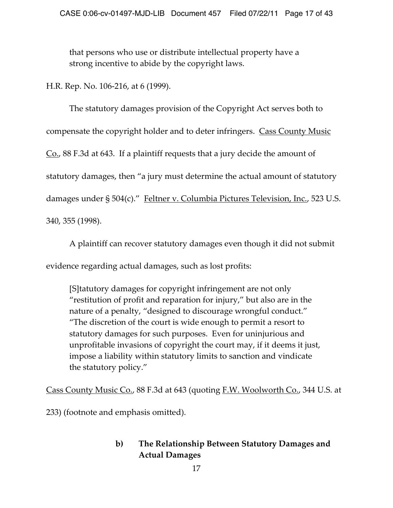that persons who use or distribute intellectual property have a strong incentive to abide by the copyright laws.

H.R. Rep. No. 106‑216, at 6 (1999).

The statutory damages provision of the Copyright Act serves both to compensate the copyright holder and to deter infringers. Cass County Music Co., 88 F.3d at 643. If a plaintiff requests that a jury decide the amount of statutory damages, then "a jury must determine the actual amount of statutory damages under § 504(c)." Feltner v. Columbia Pictures Television, Inc., 523 U.S. 340, 355 (1998).

A plaintiff can recover statutory damages even though it did not submit evidence regarding actual damages, such as lost profits:

[S]tatutory damages for copyright infringement are not only "restitution of profit and reparation for injury," but also are in the nature of a penalty, "designed to discourage wrongful conduct." "The discretion of the court is wide enough to permit a resort to statutory damages for such purposes. Even for uninjurious and unprofitable invasions of copyright the court may, if it deems it just, impose a liability within statutory limits to sanction and vindicate the statutory policy."

Cass County Music Co., 88 F.3d at 643 (quoting F.W. Woolworth Co., 344 U.S. at

233) (footnote and emphasis omitted).

# **b) The Relationship Between Statutory Damages and Actual Damages**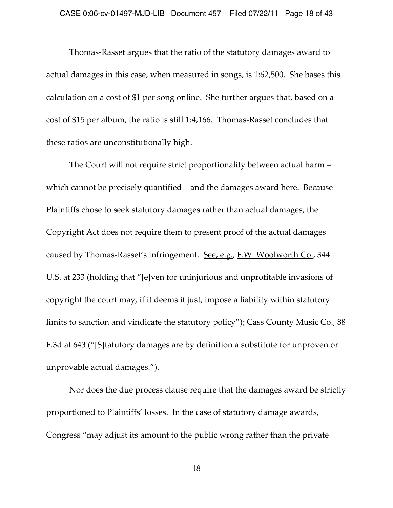Thomas‑Rasset argues that the ratio of the statutory damages award to actual damages in this case, when measured in songs, is 1:62,500. She bases this calculation on a cost of \$1 per song online. She further argues that, based on a cost of \$15 per album, the ratio is still 1:4,166. Thomas‑Rasset concludes that these ratios are unconstitutionally high.

The Court will not require strict proportionality between actual harm – which cannot be precisely quantified – and the damages award here. Because Plaintiffs chose to seek statutory damages rather than actual damages, the Copyright Act does not require them to present proof of the actual damages caused by Thomas-Rasset's infringement. See, e.g., F.W. Woolworth Co., 344 U.S. at 233 (holding that "[e]ven for uninjurious and unprofitable invasions of copyright the court may, if it deems it just, impose a liability within statutory limits to sanction and vindicate the statutory policy"); Cass County Music Co., 88 F.3d at 643 ("[S]tatutory damages are by definition a substitute for unproven or unprovable actual damages.").

Nor does the due process clause require that the damages award be strictly proportioned to Plaintiffs' losses. In the case of statutory damage awards, Congress "may adjust its amount to the public wrong rather than the private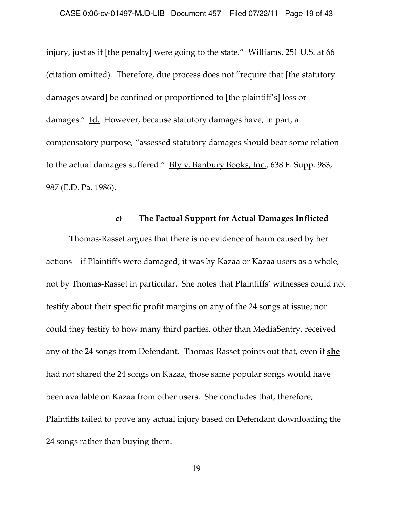injury, just as if [the penalty] were going to the state." Williams, 251 U.S. at 66 (citation omitted). Therefore, due process does not "require that [the statutory damages award] be confined or proportioned to [the plaintiff's] loss or damages." Id. However, because statutory damages have, in part, a compensatory purpose, "assessed statutory damages should bear some relation to the actual damages suffered." Bly v. Banbury Books, Inc., 638 F. Supp. 983, 987 (E.D. Pa. 1986).

#### **c) The Factual Support for Actual Damages Inflicted**

Thomas‑Rasset argues that there is no evidence of harm caused by her actions – if Plaintiffs were damaged, it was by Kazaa or Kazaa users as a whole, not by Thomas‑Rasset in particular. She notes that Plaintiffs' witnesses could not testify about their specific profit margins on any of the 24 songs at issue; nor could they testify to how many third parties, other than MediaSentry, received any of the 24 songs from Defendant. Thomas‑Rasset points out that, even if **she** had not shared the 24 songs on Kazaa, those same popular songs would have been available on Kazaa from other users. She concludes that, therefore, Plaintiffs failed to prove any actual injury based on Defendant downloading the 24 songs rather than buying them.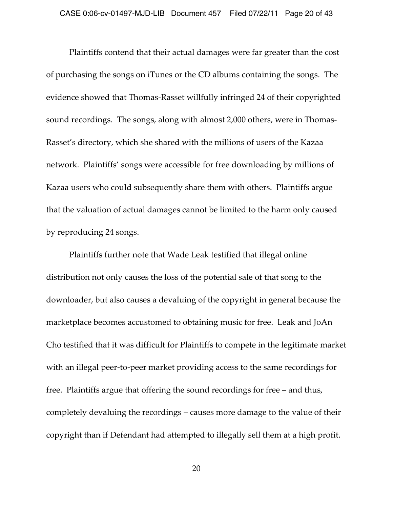Plaintiffs contend that their actual damages were far greater than the cost of purchasing the songs on iTunes or the CD albums containing the songs.The evidence showed that Thomas‑Rasset willfully infringed 24 of their copyrighted sound recordings. The songs, along with almost 2,000 others, were in Thomas-Rasset's directory, which she shared with the millions of users of the Kazaa network. Plaintiffs' songs were accessible for free downloading by millions of Kazaa users who could subsequently share them with others. Plaintiffs argue that the valuation of actual damages cannot be limited to the harm only caused by reproducing 24 songs.

Plaintiffs further note that Wade Leak testified that illegal online distribution not only causes the loss of the potential sale of that song to the downloader, but also causes a devaluing of the copyright in general because the marketplace becomes accustomed to obtaining music for free. Leak and JoAn Cho testified that it was difficult for Plaintiffs to compete in the legitimate market with an illegal peer-to-peer market providing access to the same recordings for free. Plaintiffs argue that offering the sound recordings for free – and thus, completely devaluing the recordings – causes more damage to the value of their copyright than if Defendant had attempted to illegally sell them at a high profit.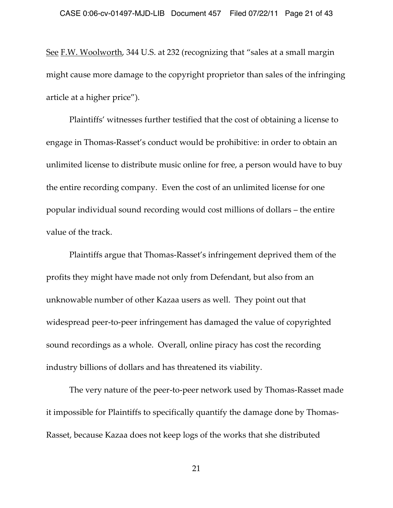See F.W. Woolworth, 344 U.S. at 232 (recognizing that "sales at a small margin might cause more damage to the copyright proprietor than sales of the infringing article at a higher price").

Plaintiffs' witnesses further testified that the cost of obtaining a license to engage in Thomas‑Rasset's conduct would be prohibitive: in order to obtain an unlimited license to distribute music online for free, a person would have to buy the entire recording company. Even the cost of an unlimited license for one popular individual sound recording would cost millions of dollars – the entire value of the track.

Plaintiffs argue that Thomas‑Rasset's infringement deprived them of the profits they might have made not only from Defendant, but also from an unknowable number of other Kazaa users as well. They point out that widespread peer-to-peer infringement has damaged the value of copyrighted sound recordings as a whole. Overall, online piracy has cost the recording industry billions of dollars and has threatened its viability.

The very nature of the peer-to-peer network used by Thomas-Rasset made it impossible for Plaintiffs to specifically quantify the damage done by Thomas-Rasset, because Kazaa does not keep logs of the works that she distributed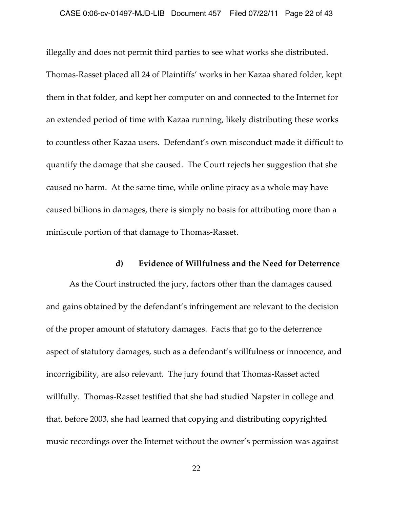illegally and does not permit third parties to see what works she distributed. Thomas‑Rasset placed all 24 of Plaintiffs' works in her Kazaa shared folder, kept them in that folder, and kept her computer on and connected to the Internet for an extended period of time with Kazaa running, likely distributing these works to countless other Kazaa users. Defendant's own misconduct made it difficult to quantify the damage that she caused. The Court rejects her suggestion that she caused no harm. At the same time, while online piracy as a whole may have caused billions in damages, there is simply no basis for attributing more than a miniscule portion of that damage to Thomas‑Rasset.

#### **d) Evidence of Willfulness and the Need for Deterrence**

As the Court instructed the jury, factors other than the damages caused and gains obtained by the defendant's infringement are relevant to the decision of the proper amount of statutory damages. Facts that go to the deterrence aspect of statutory damages, such as a defendant's willfulness or innocence, and incorrigibility, are also relevant. The jury found that Thomas-Rasset acted willfully. Thomas-Rasset testified that she had studied Napster in college and that, before 2003, she had learned that copying and distributing copyrighted music recordings over the Internet without the owner's permission was against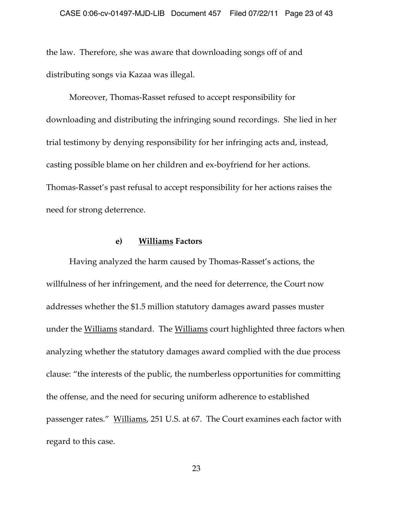the law. Therefore, she was aware that downloading songs off of and distributing songs via Kazaa was illegal.

Moreover, Thomas‑Rasset refused to accept responsibility for downloading and distributing the infringing sound recordings. She lied in her trial testimony by denying responsibility for her infringing acts and, instead, casting possible blame on her children and ex‑boyfriend for her actions. Thomas‑Rasset's past refusal to accept responsibility for her actions raises the need for strong deterrence.

#### **e) Williams Factors**

Having analyzed the harm caused by Thomas‑Rasset's actions, the willfulness of her infringement, and the need for deterrence, the Court now addresses whether the \$1.5 million statutory damages award passes muster under the Williams standard. The Williams court highlighted three factors when analyzing whether the statutory damages award complied with the due process clause: "the interests of the public, the numberless opportunities for committing the offense, and the need for securing uniform adherence to established passenger rates." Williams, 251 U.S. at 67. The Court examines each factor with regard to this case.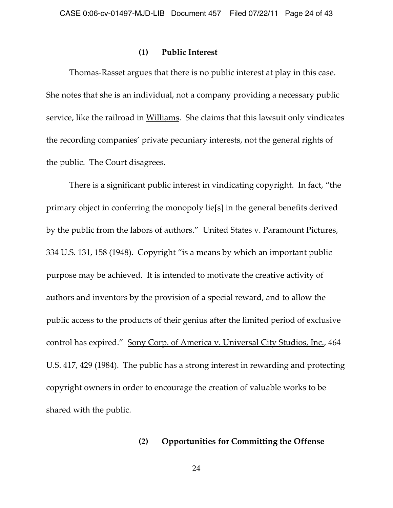#### **(1) Public Interest**

Thomas‑Rasset argues that there is no public interest at play in this case. She notes that she is an individual, not a company providing a necessary public service, like the railroad in Williams. She claims that this lawsuit only vindicates the recording companies' private pecuniary interests, not the general rights of the public. The Court disagrees.

There is a significant public interest in vindicating copyright. In fact, "the primary object in conferring the monopoly lie[s] in the general benefits derived by the public from the labors of authors." United States v. Paramount Pictures, 334 U.S. 131, 158 (1948). Copyright "is a means by which an important public purpose may be achieved. It is intended to motivate the creative activity of authors and inventors by the provision of a special reward, and to allow the public access to the products of their genius after the limited period of exclusive control has expired." Sony Corp. of America v. Universal City Studios, Inc., 464 U.S. 417, 429 (1984). The public has a strong interest in rewarding and protecting copyright owners in order to encourage the creation of valuable works to be shared with the public.

#### **(2) Opportunities for Committing the Offense**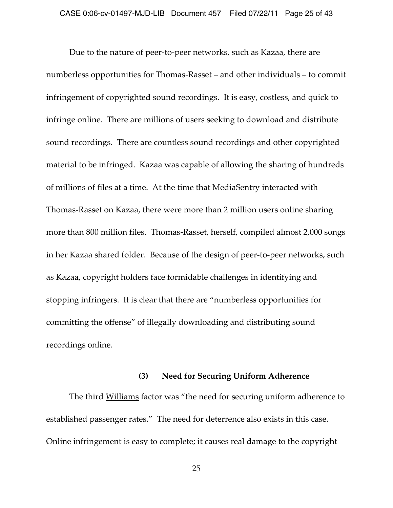Due to the nature of peer-to-peer networks, such as Kazaa, there are numberless opportunities for Thomas‑Rasset – and other individuals – to commit infringement of copyrighted sound recordings. It is easy, costless, and quick to infringe online. There are millions of users seeking to download and distribute sound recordings. There are countless sound recordings and other copyrighted material to be infringed. Kazaa was capable of allowing the sharing of hundreds of millions of files at a time. At the time that MediaSentry interacted with Thomas‑Rasset on Kazaa, there were more than 2 million users online sharing more than 800 million files. Thomas-Rasset, herself, compiled almost 2,000 songs in her Kazaa shared folder. Because of the design of peer-to-peer networks, such as Kazaa, copyright holders face formidable challenges in identifying and stopping infringers. It is clear that there are "numberless opportunities for committing the offense" of illegally downloading and distributing sound recordings online.

#### **(3) Need for Securing Uniform Adherence**

The third Williams factor was "the need for securing uniform adherence to established passenger rates." The need for deterrence also exists in this case. Online infringement is easy to complete; it causes real damage to the copyright

25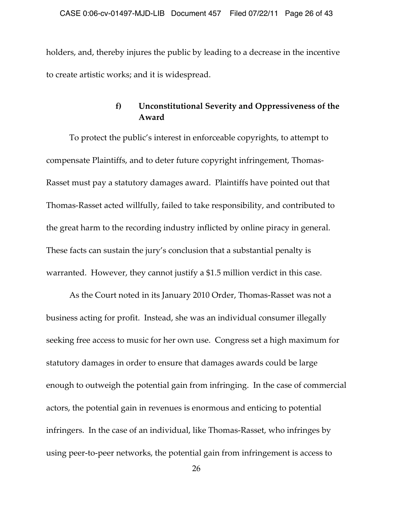holders, and, thereby injures the public by leading to a decrease in the incentive to create artistic works; and it is widespread.

# **f) Unconstitutional Severity and Oppressiveness of the Award**

To protect the public's interest in enforceable copyrights, to attempt to compensate Plaintiffs, and to deter future copyright infringement, Thomas-Rasset must pay a statutory damages award. Plaintiffs have pointed out that Thomas‑Rasset acted willfully, failed to take responsibility, and contributed to the great harm to the recording industry inflicted by online piracy in general. These facts can sustain the jury's conclusion that a substantial penalty is warranted. However, they cannot justify a \$1.5 million verdict in this case.

As the Court noted in its January 2010 Order, Thomas-Rasset was not a business acting for profit. Instead, she was an individual consumer illegally seeking free access to music for her own use. Congress set a high maximum for statutory damages in order to ensure that damages awards could be large enough to outweigh the potential gain from infringing. In the case of commercial actors, the potential gain in revenues is enormous and enticing to potential infringers. In the case of an individual, like Thomas‑Rasset, who infringes by using peer-to-peer networks, the potential gain from infringement is access to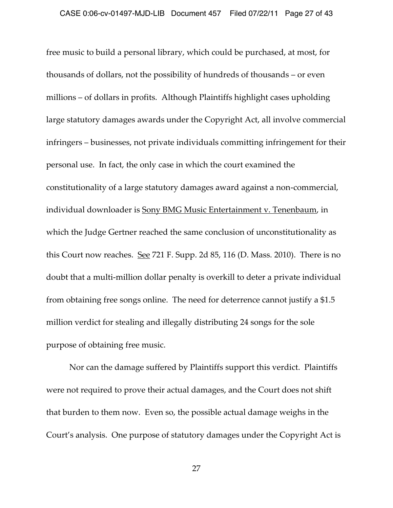free music to build a personal library, which could be purchased, at most, for thousands of dollars, not the possibility of hundreds of thousands – or even millions – of dollars in profits. Although Plaintiffs highlight cases upholding large statutory damages awards under the Copyright Act, all involve commercial infringers – businesses, not private individuals committing infringement for their personal use. In fact, the only case in which the court examined the constitutionality of a large statutory damages award against a non‑commercial, individual downloader is **Sony BMG Music Entertainment v. Tenenbaum**, in which the Judge Gertner reached the same conclusion of unconstitutionality as this Court now reaches. See 721 F. Supp. 2d 85, 116 (D. Mass. 2010). There is no doubt that a multi‑million dollar penalty is overkill to deter a private individual from obtaining free songs online. The need for deterrence cannot justify a \$1.5 million verdict for stealing and illegally distributing 24 songs for the sole purpose of obtaining free music.

Nor can the damage suffered by Plaintiffs support this verdict. Plaintiffs were not required to prove their actual damages, and the Court does not shift that burden to them now. Even so, the possible actual damage weighs in the Court's analysis. One purpose of statutory damages under the Copyright Act is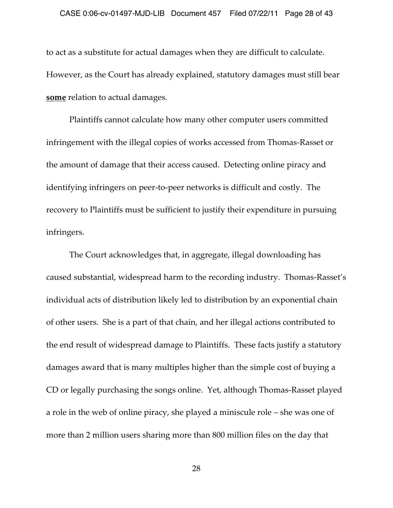to act as a substitute for actual damages when they are difficult to calculate. However, as the Court has already explained, statutory damages must still bear **some** relation to actual damages.

Plaintiffs cannot calculate how many other computer users committed infringement with the illegal copies of works accessed from Thomas‑Rasset or the amount of damage that their access caused. Detecting online piracy and identifying infringers on peer-to-peer networks is difficult and costly. The recovery to Plaintiffs must be sufficient to justify their expenditure in pursuing infringers.

The Court acknowledges that, in aggregate, illegal downloading has caused substantial, widespread harm to the recording industry. Thomas‑Rasset's individual acts of distribution likely led to distribution by an exponential chain of other users. She is a part of that chain, and her illegal actions contributed to the end result of widespread damage to Plaintiffs. These facts justify a statutory damages award that is many multiples higher than the simple cost of buying a CD or legally purchasing the songs online. Yet, although Thomas‑Rasset played a role in the web of online piracy, she played a miniscule role – she was one of more than 2 million users sharing more than 800 million files on the day that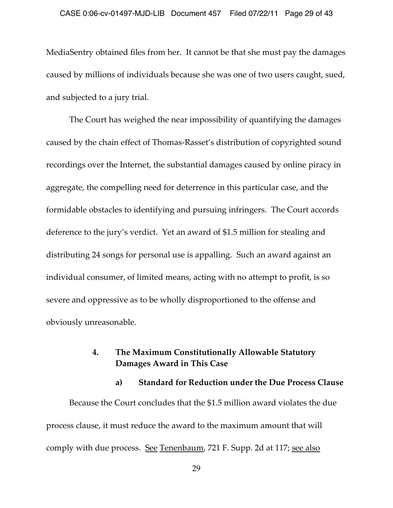MediaSentry obtained files from her. It cannot be that she must pay the damages caused by millions of individuals because she was one of two users caught, sued, and subjected to a jury trial.

The Court has weighed the near impossibility of quantifying the damages caused by the chain effect of Thomas‑Rasset's distribution of copyrighted sound recordings over the Internet, the substantial damages caused by online piracy in aggregate, the compelling need for deterrence in this particular case, and the formidable obstacles to identifying and pursuing infringers. The Court accords deference to the jury's verdict. Yet an award of \$1.5 million for stealing and distributing 24 songs for personal use is appalling. Such an award against an individual consumer, of limited means, acting with no attempt to profit, is so severe and oppressive as to be wholly disproportioned to the offense and obviously unreasonable.

## **4. The Maximum Constitutionally Allowable Statutory Damages Award in This Case**

### **a) Standard for Reduction under the Due Process Clause**

Because the Court concludes that the \$1.5 million award violates the due process clause, it must reduce the award to the maximum amount that will comply with due process. See Tenenbaum, 721 F. Supp. 2d at 117; see also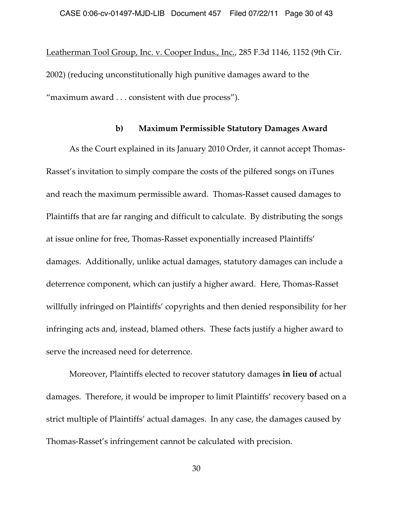Leatherman Tool Group, Inc. v. Cooper Indus., Inc., 285 F.3d 1146, 1152 (9th Cir. 2002) (reducing unconstitutionally high punitive damages award to the "maximum award . . . consistent with due process").

#### **b) Maximum Permissible Statutory Damages Award**

As the Court explained in its January 2010 Order, it cannot accept Thomas-Rasset's invitation to simply compare the costs of the pilfered songs on iTunes and reach the maximum permissible award. Thomas‑Rasset caused damages to Plaintiffs that are far ranging and difficult to calculate. By distributing the songs at issue online for free, Thomas‑Rasset exponentially increased Plaintiffs' damages. Additionally, unlike actual damages, statutory damages can include a deterrence component, which can justify a higher award. Here, Thomas-Rasset willfully infringed on Plaintiffs' copyrights and then denied responsibility for her infringing acts and, instead, blamed others. These facts justify a higher award to serve the increased need for deterrence.

Moreover, Plaintiffs elected to recover statutory damages **in lieu of** actual damages. Therefore, it would be improper to limit Plaintiffs' recovery based on a strict multiple of Plaintiffs' actual damages. In any case, the damages caused by Thomas‑Rasset's infringement cannot be calculated with precision.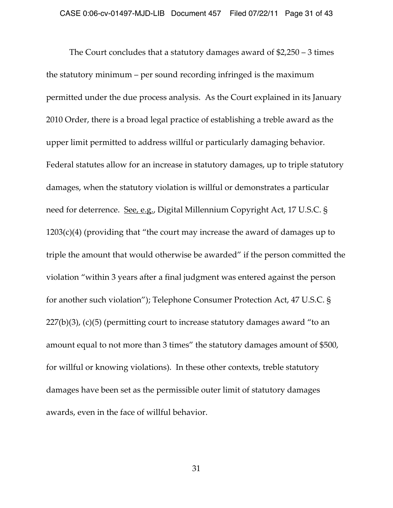The Court concludes that a statutory damages award of \$2,250 – 3 times the statutory minimum – per sound recording infringed is the maximum permitted under the due process analysis. As the Court explained in its January 2010 Order, there is a broad legal practice of establishing a treble award as the upper limit permitted to address willful or particularly damaging behavior. Federal statutes allow for an increase in statutory damages, up to triple statutory damages, when the statutory violation is willful or demonstrates a particular need for deterrence. See, e.g., Digital Millennium Copyright Act, 17 U.S.C. §  $1203(c)(4)$  (providing that "the court may increase the award of damages up to triple the amount that would otherwise be awarded" if the person committed the violation "within 3 years after a final judgment was entered against the person for another such violation"); Telephone Consumer Protection Act, 47 U.S.C. § 227(b)(3), (c)(5) (permitting court to increase statutory damages award "to an amount equal to not more than 3 times" the statutory damages amount of \$500, for willful or knowing violations). In these other contexts, treble statutory damages have been set as the permissible outer limit of statutory damages awards, even in the face of willful behavior.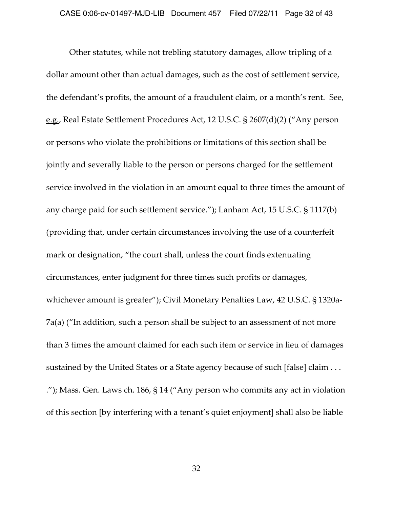Other statutes, while not trebling statutory damages, allow tripling of a dollar amount other than actual damages, such as the cost of settlement service, the defendant's profits, the amount of a fraudulent claim, or a month's rent. See, e.g., Real Estate Settlement Procedures Act, 12 U.S.C. § 2607(d)(2) ("Any person or persons who violate the prohibitions or limitations of this section shall be jointly and severally liable to the person or persons charged for the settlement service involved in the violation in an amount equal to three times the amount of any charge paid for such settlement service."); Lanham Act, 15 U.S.C. § 1117(b) (providing that, under certain circumstances involving the use of a counterfeit mark or designation, "the court shall, unless the court finds extenuating circumstances, enter judgment for three times such profits or damages, whichever amount is greater"); Civil Monetary Penalties Law, 42 U.S.C. § 1320a-7a(a) ("In addition, such a person shall be subject to an assessment of not more than 3 times the amount claimed for each such item or service in lieu of damages sustained by the United States or a State agency because of such [false] claim . . . ."); Mass. Gen. Laws ch. 186, § 14 ("Any person who commits any act in violation of this section [by interfering with a tenant's quiet enjoyment] shall also be liable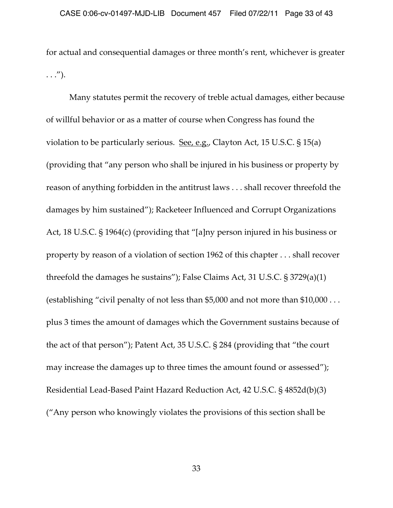for actual and consequential damages or three month's rent, whichever is greater  $\ldots$ ").

Many statutes permit the recovery of treble actual damages, either because of willful behavior or as a matter of course when Congress has found the violation to be particularly serious. See, e.g., Clayton Act, 15 U.S.C. § 15(a) (providing that "any person who shall be injured in his business or property by reason of anything forbidden in the antitrust laws . . . shall recover threefold the damages by him sustained"); Racketeer Influenced and Corrupt Organizations Act, 18 U.S.C. § 1964(c) (providing that "[a]ny person injured in his business or property by reason of a violation of section 1962 of this chapter . . . shall recover threefold the damages he sustains"); False Claims Act, 31 U.S.C. § 3729(a)(1) (establishing "civil penalty of not less than \$5,000 and not more than \$10,000 . . . plus 3 times the amount of damages which the Government sustains because of the act of that person"); Patent Act, 35 U.S.C. § 284 (providing that "the court may increase the damages up to three times the amount found or assessed"); Residential Lead‑Based Paint Hazard Reduction Act, 42 U.S.C. § 4852d(b)(3) ("Any person who knowingly violates the provisions of this section shall be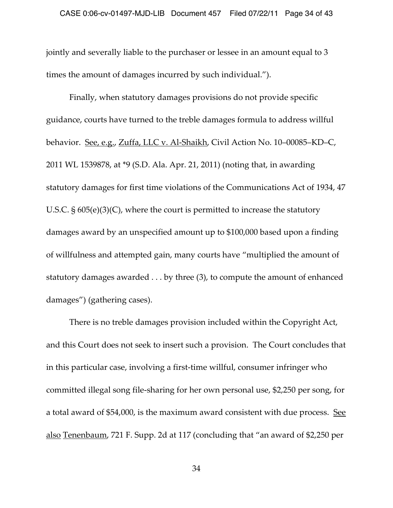jointly and severally liable to the purchaser or lessee in an amount equal to 3 times the amount of damages incurred by such individual.").

Finally, when statutory damages provisions do not provide specific guidance, courts have turned to the treble damages formula to address willful behavior. See, e.g., Zuffa, LLC v. Al‑Shaikh, Civil Action No. 10–00085–KD–C, 2011 WL 1539878, at \*9 (S.D. Ala. Apr. 21, 2011) (noting that, in awarding statutory damages for first time violations of the Communications Act of 1934, 47 U.S.C. § 605(e)(3)(C), where the court is permitted to increase the statutory damages award by an unspecified amount up to \$100,000 based upon a finding of willfulness and attempted gain, many courts have "multiplied the amount of statutory damages awarded . . . by three (3), to compute the amount of enhanced damages") (gathering cases).

There is no treble damages provision included within the Copyright Act, and this Court does not seek to insert such a provision. The Court concludes that in this particular case, involving a first-time willful, consumer infringer who committed illegal song file‑sharing for her own personal use, \$2,250 per song, for a total award of \$54,000, is the maximum award consistent with due process. See also Tenenbaum, 721 F. Supp. 2d at 117 (concluding that "an award of \$2,250 per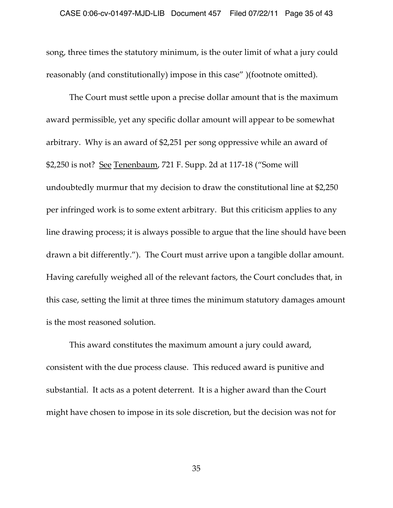song, three times the statutory minimum, is the outer limit of what a jury could reasonably (and constitutionally) impose in this case" )(footnote omitted).

The Court must settle upon a precise dollar amount that is the maximum award permissible, yet any specific dollar amount will appear to be somewhat arbitrary. Why is an award of \$2,251 per song oppressive while an award of \$2,250 is not? See Tenenbaum, 721 F. Supp. 2d at 117‑18 ("Some will undoubtedly murmur that my decision to draw the constitutional line at \$2,250 per infringed work is to some extent arbitrary. But this criticism applies to any line drawing process; it is always possible to argue that the line should have been drawn a bit differently."). The Court must arrive upon a tangible dollar amount. Having carefully weighed all of the relevant factors, the Court concludes that, in this case, setting the limit at three times the minimum statutory damages amount is the most reasoned solution.

This award constitutes the maximum amount a jury could award, consistent with the due process clause. This reduced award is punitive and substantial. It acts as a potent deterrent. It is a higher award than the Court might have chosen to impose in its sole discretion, but the decision was not for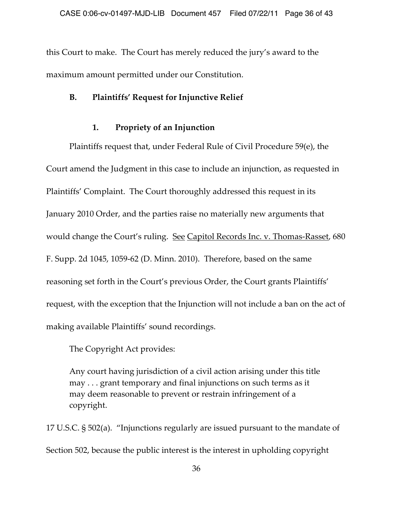this Court to make. The Court has merely reduced the jury's award to the maximum amount permitted under our Constitution.

## **B. Plaintiffs' Request for Injunctive Relief**

# **1. Propriety of an Injunction**

Plaintiffs request that, under Federal Rule of Civil Procedure 59(e), the Court amend the Judgment in this case to include an injunction, as requested in Plaintiffs' Complaint. The Court thoroughly addressed this request in its January 2010 Order, and the parties raise no materially new arguments that would change the Court's ruling. See Capitol Records Inc. v. Thomas-Rasset, 680 F. Supp. 2d 1045, 1059‑62 (D. Minn. 2010). Therefore, based on the same reasoning set forth in the Court's previous Order, the Court grants Plaintiffs' request, with the exception that the Injunction will not include a ban on the act of making available Plaintiffs' sound recordings.

The Copyright Act provides:

Any court having jurisdiction of a civil action arising under this title may . . . grant temporary and final injunctions on such terms as it may deem reasonable to prevent or restrain infringement of a copyright.

17 U.S.C. § 502(a). "Injunctions regularly are issued pursuant to the mandate of Section 502, because the public interest is the interest in upholding copyright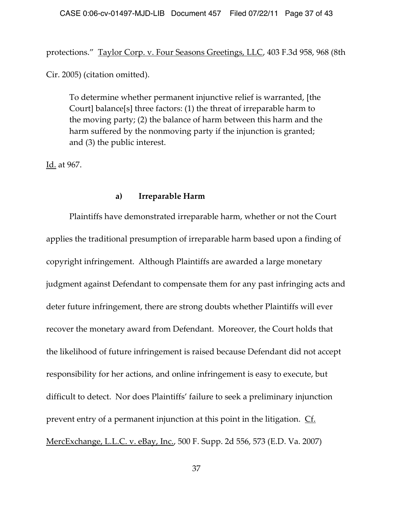protections." Taylor Corp. v. Four Seasons Greetings, LLC, 403 F.3d 958, 968 (8th

Cir. 2005) (citation omitted).

To determine whether permanent injunctive relief is warranted, [the Court] balance[s] three factors: (1) the threat of irreparable harm to the moving party; (2) the balance of harm between this harm and the harm suffered by the nonmoving party if the injunction is granted; and (3) the public interest.

Id. at 967.

### **a) Irreparable Harm**

Plaintiffs have demonstrated irreparable harm, whether or not the Court applies the traditional presumption of irreparable harm based upon a finding of copyright infringement. Although Plaintiffs are awarded a large monetary judgment against Defendant to compensate them for any past infringing acts and deter future infringement, there are strong doubts whether Plaintiffs will ever recover the monetary award from Defendant. Moreover, the Court holds that the likelihood of future infringement is raised because Defendant did not accept responsibility for her actions, and online infringement is easy to execute, but difficult to detect. Nor does Plaintiffs' failure to seek a preliminary injunction prevent entry of a permanent injunction at this point in the litigation. Cf. MercExchange, L.L.C. v. eBay, Inc., 500 F. Supp. 2d 556, 573 (E.D. Va. 2007)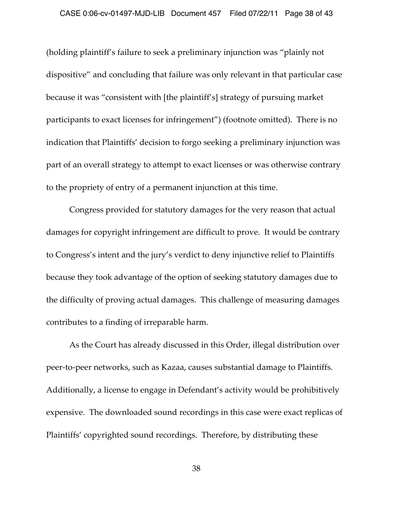(holding plaintiff's failure to seek a preliminary injunction was "plainly not dispositive" and concluding that failure was only relevant in that particular case because it was "consistent with [the plaintiff's] strategy of pursuing market participants to exact licenses for infringement") (footnote omitted). There is no indication that Plaintiffs' decision to forgo seeking a preliminary injunction was part of an overall strategy to attempt to exact licenses or was otherwise contrary to the propriety of entry of a permanent injunction at this time.

Congress provided for statutory damages for the very reason that actual damages for copyright infringement are difficult to prove. It would be contrary to Congress's intent and the jury's verdict to deny injunctive relief to Plaintiffs because they took advantage of the option of seeking statutory damages due to the difficulty of proving actual damages. This challenge of measuring damages contributes to a finding of irreparable harm.

As the Court has already discussed in this Order, illegal distribution over peer-to-peer networks, such as Kazaa, causes substantial damage to Plaintiffs. Additionally, a license to engage in Defendant's activity would be prohibitively expensive. The downloaded sound recordings in this case were exact replicas of Plaintiffs' copyrighted sound recordings. Therefore, by distributing these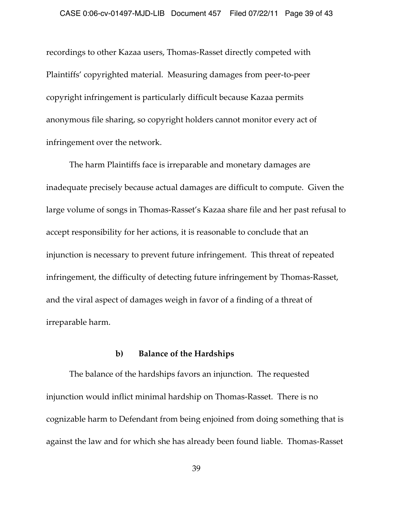recordings to other Kazaa users, Thomas‑Rasset directly competed with Plaintiffs' copyrighted material. Measuring damages from peer‑to‑peer copyright infringement is particularly difficult because Kazaa permits anonymous file sharing, so copyright holders cannot monitor every act of infringement over the network.

The harm Plaintiffs face is irreparable and monetary damages are inadequate precisely because actual damages are difficult to compute. Given the large volume of songs in Thomas‑Rasset's Kazaa share file and her past refusal to accept responsibility for her actions, it is reasonable to conclude that an injunction is necessary to prevent future infringement. This threat of repeated infringement, the difficulty of detecting future infringement by Thomas‑Rasset, and the viral aspect of damages weigh in favor of a finding of a threat of irreparable harm.

#### **b) Balance of the Hardships**

The balance of the hardships favors an injunction. The requested injunction would inflict minimal hardship on Thomas‑Rasset. There is no cognizable harm to Defendant from being enjoined from doing something that is against the law and for which she has already been found liable. Thomas‑Rasset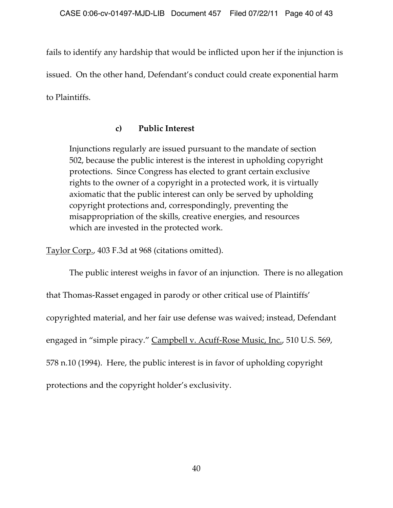fails to identify any hardship that would be inflicted upon her if the injunction is issued. On the other hand, Defendant's conduct could create exponential harm to Plaintiffs.

# **c) Public Interest**

Injunctions regularly are issued pursuant to the mandate of section 502, because the public interest is the interest in upholding copyright protections. Since Congress has elected to grant certain exclusive rights to the owner of a copyright in a protected work, it is virtually axiomatic that the public interest can only be served by upholding copyright protections and, correspondingly, preventing the misappropriation of the skills, creative energies, and resources which are invested in the protected work.

Taylor Corp., 403 F.3d at 968 (citations omitted).

The public interest weighs in favor of an injunction. There is no allegation that Thomas‑Rasset engaged in parody or other critical use of Plaintiffs' copyrighted material, and her fair use defense was waived; instead, Defendant engaged in "simple piracy." Campbell v. Acuff-Rose Music, Inc., 510 U.S. 569, 578 n.10 (1994). Here, the public interest is in favor of upholding copyright protections and the copyright holder's exclusivity.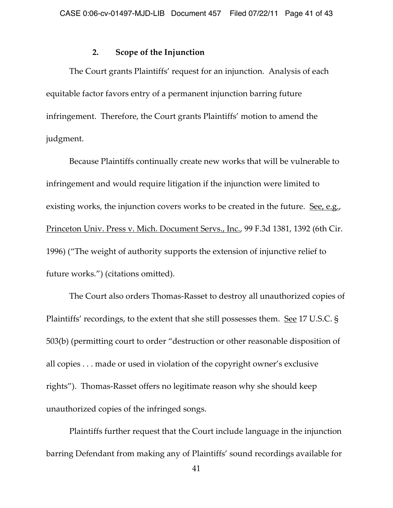#### **2. Scope of the Injunction**

The Court grants Plaintiffs' request for an injunction. Analysis of each equitable factor favors entry of a permanent injunction barring future infringement. Therefore, the Court grants Plaintiffs' motion to amend the judgment.

Because Plaintiffs continually create new works that will be vulnerable to infringement and would require litigation if the injunction were limited to existing works, the injunction covers works to be created in the future. See, e.g., Princeton Univ. Press v. Mich. Document Servs., Inc., 99 F.3d 1381, 1392 (6th Cir. 1996) ("The weight of authority supports the extension of injunctive relief to future works.") (citations omitted).

The Court also orders Thomas‑Rasset to destroy all unauthorized copies of Plaintiffs' recordings, to the extent that she still possesses them. See 17 U.S.C. § 503(b) (permitting court to order "destruction or other reasonable disposition of all copies . . . made or used in violation of the copyright owner's exclusive rights"). Thomas‑Rasset offers no legitimate reason why she should keep unauthorized copies of the infringed songs.

Plaintiffs further request that the Court include language in the injunction barring Defendant from making any of Plaintiffs' sound recordings available for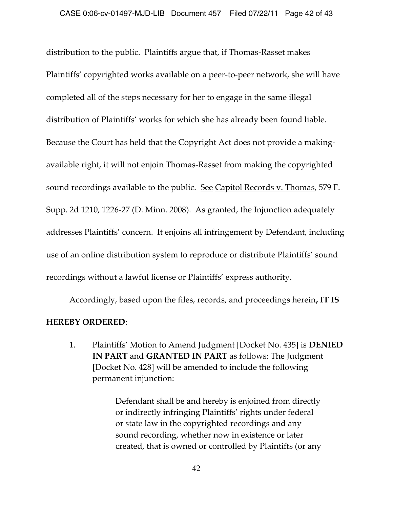distribution to the public. Plaintiffs argue that, if Thomas‑Rasset makes Plaintiffs' copyrighted works available on a peer-to-peer network, she will have completed all of the steps necessary for her to engage in the same illegal distribution of Plaintiffs' works for which she has already been found liable. Because the Court has held that the Copyright Act does not provide a makingavailable right, it will not enjoin Thomas‑Rasset from making the copyrighted sound recordings available to the public. See Capitol Records v. Thomas, 579 F. Supp. 2d 1210, 1226‑27 (D. Minn. 2008). As granted, the Injunction adequately addresses Plaintiffs' concern. It enjoins all infringement by Defendant, including use of an online distribution system to reproduce or distribute Plaintiffs' sound recordings without a lawful license or Plaintiffs' express authority.

Accordingly, based upon the files, records, and proceedings herein**, IT IS** 

### **HEREBY ORDERED**:

1. Plaintiffs' Motion to Amend Judgment [Docket No. 435] is **DENIED IN PART** and **GRANTED IN PART** as follows: The Judgment [Docket No. 428] will be amended to include the following permanent injunction:

> Defendant shall be and hereby is enjoined from directly or indirectly infringing Plaintiffs' rights under federal or state law in the copyrighted recordings and any sound recording, whether now in existence or later created, that is owned or controlled by Plaintiffs (or any